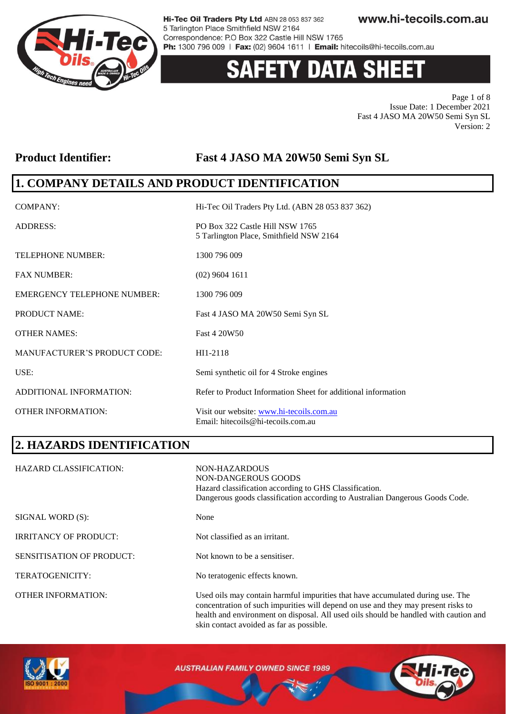

# 'Y DATA SHEET

Page 1 of 8 Issue Date: 1 December 2021 Fast 4 JASO MA 20W50 Semi Syn SL Version: 2

### **Product Identifier: Fast 4 JASO MA 20W50 Semi Syn SL**

## **1. COMPANY DETAILS AND PRODUCT IDENTIFICATION**

| COMPANY:                            | Hi-Tec Oil Traders Pty Ltd. (ABN 28 053 837 362)                               |
|-------------------------------------|--------------------------------------------------------------------------------|
| <b>ADDRESS:</b>                     | PO Box 322 Castle Hill NSW 1765<br>5 Tarlington Place, Smithfield NSW 2164     |
| <b>TELEPHONE NUMBER:</b>            | 1300 796 009                                                                   |
| <b>FAX NUMBER:</b>                  | $(02)$ 9604 1611                                                               |
| <b>EMERGENCY TELEPHONE NUMBER:</b>  | 1300 796 009                                                                   |
| PRODUCT NAME:                       | Fast 4 JASO MA 20W50 Semi Syn SL                                               |
| <b>OTHER NAMES:</b>                 | Fast 4 20W50                                                                   |
| <b>MANUFACTURER'S PRODUCT CODE:</b> | HI1-2118                                                                       |
| USE:                                | Semi synthetic oil for 4 Stroke engines                                        |
| ADDITIONAL INFORMATION:             | Refer to Product Information Sheet for additional information                  |
| <b>OTHER INFORMATION:</b>           | Visit our website: www.hi-tecoils.com.au<br>Email: hitecoils@hi-tecoils.com.au |

## **2. HAZARDS IDENTIFICATION**

| <b>HAZARD CLASSIFICATION:</b>    | NON-HAZARDOUS<br>NON-DANGEROUS GOODS<br>Hazard classification according to GHS Classification.<br>Dangerous goods classification according to Australian Dangerous Goods Code.                                                                              |
|----------------------------------|-------------------------------------------------------------------------------------------------------------------------------------------------------------------------------------------------------------------------------------------------------------|
| SIGNAL WORD (S):                 | None                                                                                                                                                                                                                                                        |
| <b>IRRITANCY OF PRODUCT:</b>     | Not classified as an irritant.                                                                                                                                                                                                                              |
| <b>SENSITISATION OF PRODUCT:</b> | Not known to be a sensitiser.                                                                                                                                                                                                                               |
| TERATOGENICITY:                  | No teratogenic effects known.                                                                                                                                                                                                                               |
| <b>OTHER INFORMATION:</b>        | Used oils may contain harmful impurities that have accumulated during use. The<br>concentration of such impurities will depend on use and they may present risks to<br>health and environment on disposal. All used oils should be handled with caution and |



**AUSTRALIAN FAMILY OWNED SINCE 1989** 

skin contact avoided as far as possible.

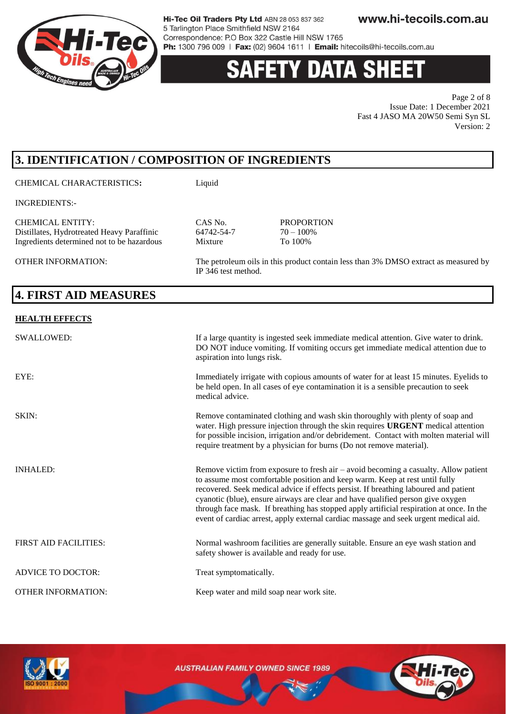

# 'Y DATA SHEE

Page 2 of 8 Issue Date: 1 December 2021 Fast 4 JASO MA 20W50 Semi Syn SL Version: 2

# **3. IDENTIFICATION / COMPOSITION OF INGREDIENTS**

CHEMICAL CHARACTERISTICS**:** Liquid

INGREDIENTS:-

CHEMICAL ENTITY:<br>
Distillates. Hydrotreated Heavy Paraffinic<br>
64742-54-7 70 - 100% Distillates, Hydrotreated Heavy Paraffinic 64742-54-7 70 – 100%<br>Ingredients determined not to be hazardous Mixture To 100% Ingredients determined not to be hazardous Mixture

OTHER INFORMATION: The petroleum oils in this product contain less than 3% DMSO extract as measured by IP 346 test method.

# **4. FIRST AID MEASURES**

#### **HEALTH EFFECTS**

| <b>SWALLOWED:</b>            | If a large quantity is ingested seek immediate medical attention. Give water to drink.<br>DO NOT induce vomiting. If vomiting occurs get immediate medical attention due to<br>aspiration into lungs risk.                                                                                                                                                                                                                                                                                                                          |
|------------------------------|-------------------------------------------------------------------------------------------------------------------------------------------------------------------------------------------------------------------------------------------------------------------------------------------------------------------------------------------------------------------------------------------------------------------------------------------------------------------------------------------------------------------------------------|
| EYE:                         | Immediately irrigate with copious amounts of water for at least 15 minutes. Eyelids to<br>be held open. In all cases of eye contamination it is a sensible precaution to seek<br>medical advice.                                                                                                                                                                                                                                                                                                                                    |
| SKIN:                        | Remove contaminated clothing and wash skin thoroughly with plenty of soap and<br>water. High pressure injection through the skin requires URGENT medical attention<br>for possible incision, irrigation and/or debridement. Contact with molten material will<br>require treatment by a physician for burns (Do not remove material).                                                                                                                                                                                               |
| <b>INHALED:</b>              | Remove victim from exposure to fresh air $-$ avoid becoming a casualty. Allow patient<br>to assume most comfortable position and keep warm. Keep at rest until fully<br>recovered. Seek medical advice if effects persist. If breathing laboured and patient<br>cyanotic (blue), ensure airways are clear and have qualified person give oxygen<br>through face mask. If breathing has stopped apply artificial respiration at once. In the<br>event of cardiac arrest, apply external cardiac massage and seek urgent medical aid. |
| <b>FIRST AID FACILITIES:</b> | Normal washroom facilities are generally suitable. Ensure an eye wash station and<br>safety shower is available and ready for use.                                                                                                                                                                                                                                                                                                                                                                                                  |
| <b>ADVICE TO DOCTOR:</b>     | Treat symptomatically.                                                                                                                                                                                                                                                                                                                                                                                                                                                                                                              |
| <b>OTHER INFORMATION:</b>    | Keep water and mild soap near work site.                                                                                                                                                                                                                                                                                                                                                                                                                                                                                            |

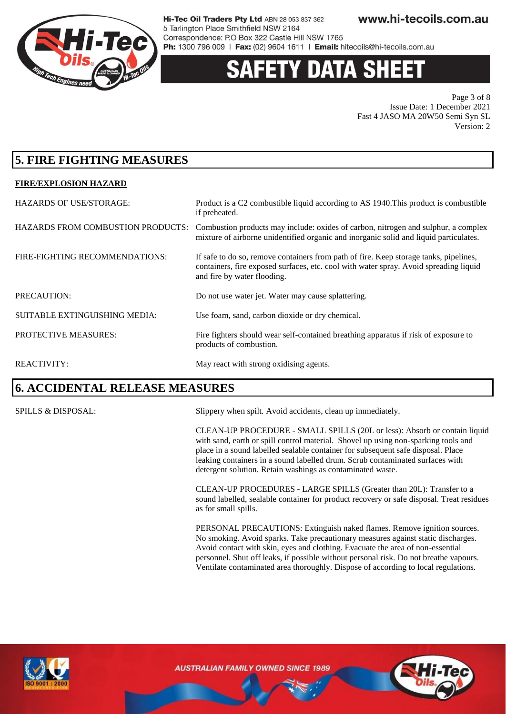

# **Y DATA SH**

Page 3 of 8 Issue Date: 1 December 2021 Fast 4 JASO MA 20W50 Semi Syn SL Version: 2

## **5. FIRE FIGHTING MEASURES**

#### **FIRE/EXPLOSION HAZARD**

| <b>HAZARDS OF USE/STORAGE:</b>           | Product is a C2 combustible liquid according to AS 1940. This product is combustible<br>if preheated.                                                                                                         |
|------------------------------------------|---------------------------------------------------------------------------------------------------------------------------------------------------------------------------------------------------------------|
| <b>HAZARDS FROM COMBUSTION PRODUCTS:</b> | Combustion products may include: oxides of carbon, nitrogen and sulphur, a complex<br>mixture of airborne unidentified organic and inorganic solid and liquid particulates.                                   |
| FIRE-FIGHTING RECOMMENDATIONS:           | If safe to do so, remove containers from path of fire. Keep storage tanks, pipelines,<br>containers, fire exposed surfaces, etc. cool with water spray. Avoid spreading liquid<br>and fire by water flooding. |
| PRECAUTION:                              | Do not use water jet. Water may cause splattering.                                                                                                                                                            |
| SUITABLE EXTINGUISHING MEDIA:            | Use foam, sand, carbon dioxide or dry chemical.                                                                                                                                                               |
| PROTECTIVE MEASURES:                     | Fire fighters should wear self-contained breathing apparatus if risk of exposure to<br>products of combustion.                                                                                                |
| <b>REACTIVITY:</b>                       | May react with strong oxidising agents.                                                                                                                                                                       |

### **6. ACCIDENTAL RELEASE MEASURES**

SPILLS & DISPOSAL: Slippery when spilt. Avoid accidents, clean up immediately.

CLEAN-UP PROCEDURE - SMALL SPILLS (20L or less): Absorb or contain liquid with sand, earth or spill control material. Shovel up using non-sparking tools and place in a sound labelled sealable container for subsequent safe disposal. Place leaking containers in a sound labelled drum. Scrub contaminated surfaces with detergent solution. Retain washings as contaminated waste.

CLEAN-UP PROCEDURES - LARGE SPILLS (Greater than 20L): Transfer to a sound labelled, sealable container for product recovery or safe disposal. Treat residues as for small spills.

PERSONAL PRECAUTIONS: Extinguish naked flames. Remove ignition sources. No smoking. Avoid sparks. Take precautionary measures against static discharges. Avoid contact with skin, eyes and clothing. Evacuate the area of non-essential personnel. Shut off leaks, if possible without personal risk. Do not breathe vapours. Ventilate contaminated area thoroughly. Dispose of according to local regulations.



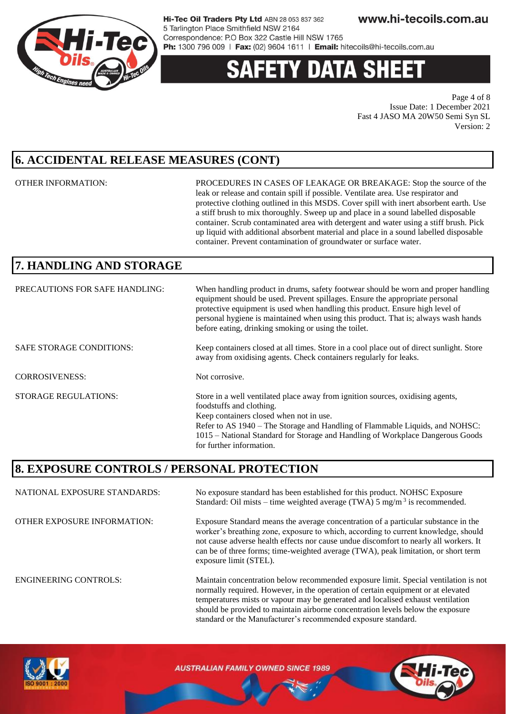

# **ETY DATA SHE**

Page 4 of 8 Issue Date: 1 December 2021 Fast 4 JASO MA 20W50 Semi Syn SL Version: 2

## **6. ACCIDENTAL RELEASE MEASURES (CONT)**

OTHER INFORMATION: PROCEDURES IN CASES OF LEAKAGE OR BREAKAGE: Stop the source of the leak or release and contain spill if possible. Ventilate area. Use respirator and protective clothing outlined in this MSDS. Cover spill with inert absorbent earth. Use a stiff brush to mix thoroughly. Sweep up and place in a sound labelled disposable container. Scrub contaminated area with detergent and water using a stiff brush. Pick up liquid with additional absorbent material and place in a sound labelled disposable container. Prevent contamination of groundwater or surface water.

should be provided to maintain airborne concentration levels below the exposure

standard or the Manufacturer's recommended exposure standard.

# **7. HANDLING AND STORAGE**

| PRECAUTIONS FOR SAFE HANDLING:  | When handling product in drums, safety footwear should be worn and proper handling<br>equipment should be used. Prevent spillages. Ensure the appropriate personal<br>protective equipment is used when handling this product. Ensure high level of<br>personal hygiene is maintained when using this product. That is; always wash hands<br>before eating, drinking smoking or using the toilet. |
|---------------------------------|---------------------------------------------------------------------------------------------------------------------------------------------------------------------------------------------------------------------------------------------------------------------------------------------------------------------------------------------------------------------------------------------------|
| <b>SAFE STORAGE CONDITIONS:</b> | Keep containers closed at all times. Store in a cool place out of direct sunlight. Store<br>away from oxidising agents. Check containers regularly for leaks.                                                                                                                                                                                                                                     |
| <b>CORROSIVENESS:</b>           | Not corrosive.                                                                                                                                                                                                                                                                                                                                                                                    |
| <b>STORAGE REGULATIONS:</b>     | Store in a well ventilated place away from ignition sources, oxidising agents,<br>foodstuffs and clothing.<br>Keep containers closed when not in use.<br>Refer to AS 1940 – The Storage and Handling of Flammable Liquids, and NOHSC:<br>1015 – National Standard for Storage and Handling of Workplace Dangerous Goods<br>for further information.                                               |

### **8. EXPOSURE CONTROLS / PERSONAL PROTECTION**

NATIONAL EXPOSURE STANDARDS: No exposure standard has been established for this product. NOHSC Exposure Standard: Oil mists – time weighted average (TWA)  $5 \text{ mg/m}^3$  is recommended. OTHER EXPOSURE INFORMATION: Exposure Standard means the average concentration of a particular substance in the worker's breathing zone, exposure to which, according to current knowledge, should not cause adverse health effects nor cause undue discomfort to nearly all workers. It can be of three forms; time-weighted average (TWA), peak limitation, or short term exposure limit (STEL). ENGINEERING CONTROLS: Maintain concentration below recommended exposure limit. Special ventilation is not normally required. However, in the operation of certain equipment or at elevated temperatures mists or vapour may be generated and localised exhaust ventilation

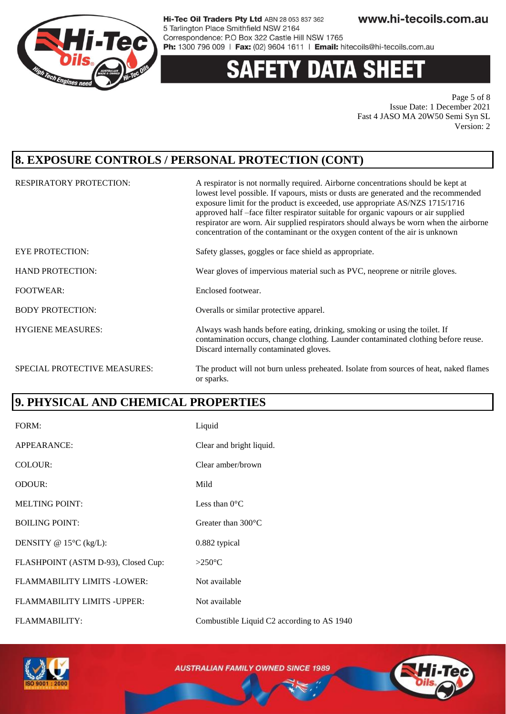

#### **DATA SH** 13 Z

Page 5 of 8 Issue Date: 1 December 2021 Fast 4 JASO MA 20W50 Semi Syn SL Version: 2

### **8. EXPOSURE CONTROLS / PERSONAL PROTECTION (CONT)**

| <b>RESPIRATORY PROTECTION:</b>      | A respirator is not normally required. Airborne concentrations should be kept at<br>lowest level possible. If vapours, mists or dusts are generated and the recommended<br>exposure limit for the product is exceeded, use appropriate AS/NZS 1715/1716<br>approved half -face filter respirator suitable for organic vapours or air supplied<br>respirator are worn. Air supplied respirators should always be worn when the airborne<br>concentration of the contaminant or the oxygen content of the air is unknown |
|-------------------------------------|------------------------------------------------------------------------------------------------------------------------------------------------------------------------------------------------------------------------------------------------------------------------------------------------------------------------------------------------------------------------------------------------------------------------------------------------------------------------------------------------------------------------|
| <b>EYE PROTECTION:</b>              | Safety glasses, goggles or face shield as appropriate.                                                                                                                                                                                                                                                                                                                                                                                                                                                                 |
| <b>HAND PROTECTION:</b>             | Wear gloves of impervious material such as PVC, neoprene or nitrile gloves.                                                                                                                                                                                                                                                                                                                                                                                                                                            |
| <b>FOOTWEAR:</b>                    | Enclosed footwear.                                                                                                                                                                                                                                                                                                                                                                                                                                                                                                     |
| <b>BODY PROTECTION:</b>             | Overalls or similar protective apparel.                                                                                                                                                                                                                                                                                                                                                                                                                                                                                |
| <b>HYGIENE MEASURES:</b>            | Always wash hands before eating, drinking, smoking or using the toilet. If<br>contamination occurs, change clothing. Launder contaminated clothing before reuse.<br>Discard internally contaminated gloves.                                                                                                                                                                                                                                                                                                            |
| <b>SPECIAL PROTECTIVE MEASURES:</b> | The product will not burn unless preheated. Isolate from sources of heat, naked flames<br>or sparks.                                                                                                                                                                                                                                                                                                                                                                                                                   |

### **9. PHYSICAL AND CHEMICAL PROPERTIES**

| FORM:                               | Liquid                                     |
|-------------------------------------|--------------------------------------------|
| APPEARANCE:                         | Clear and bright liquid.                   |
| COLOUR:                             | Clear amber/brown                          |
| <b>ODOUR:</b>                       | Mild                                       |
| <b>MELTING POINT:</b>               | Less than $0^{\circ}$ C                    |
| <b>BOILING POINT:</b>               | Greater than $300^{\circ}$ C               |
| DENSITY @ $15^{\circ}$ C (kg/L):    | 0.882 typical                              |
| FLASHPOINT (ASTM D-93), Closed Cup: | $>250^{\circ}$ C                           |
| <b>FLAMMABILITY LIMITS -LOWER:</b>  | Not available                              |
| FLAMMABILITY LIMITS - UPPER:        | Not available                              |
| FLAMMABILITY:                       | Combustible Liquid C2 according to AS 1940 |



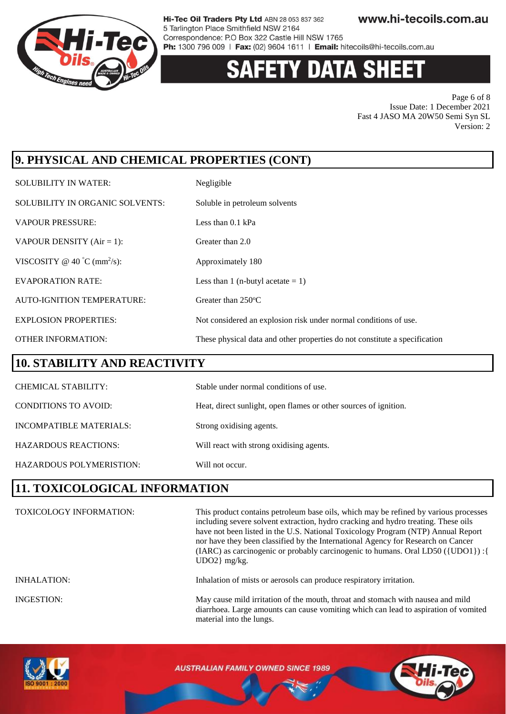

# **Y DATA SHEET**

Page 6 of 8 Issue Date: 1 December 2021 Fast 4 JASO MA 20W50 Semi Syn SL Version: 2

# **9. PHYSICAL AND CHEMICAL PROPERTIES (CONT)**

| <b>SOLUBILITY IN WATER:</b>             | Negligible                                                                 |
|-----------------------------------------|----------------------------------------------------------------------------|
| SOLUBILITY IN ORGANIC SOLVENTS:         | Soluble in petroleum solvents                                              |
| <b>VAPOUR PRESSURE:</b>                 | Less than $0.1$ kPa                                                        |
| VAPOUR DENSITY $(Air = 1)$ :            | Greater than 2.0                                                           |
| VISCOSITY @ 40 °C (mm <sup>2</sup> /s): | Approximately 180                                                          |
| <b>EVAPORATION RATE:</b>                | Less than 1 (n-butyl acetate $= 1$ )                                       |
| AUTO-IGNITION TEMPERATURE:              | Greater than $250^{\circ}$ C                                               |
| <b>EXPLOSION PROPERTIES:</b>            | Not considered an explosion risk under normal conditions of use.           |
| <b>OTHER INFORMATION:</b>               | These physical data and other properties do not constitute a specification |

#### **10. STABILITY AND REACTIVITY**

| <b>CHEMICAL STABILITY:</b>  | Stable under normal conditions of use.                           |
|-----------------------------|------------------------------------------------------------------|
| <b>CONDITIONS TO AVOID:</b> | Heat, direct sunlight, open flames or other sources of ignition. |
| INCOMPATIBLE MATERIALS:     | Strong oxidising agents.                                         |
| <b>HAZARDOUS REACTIONS:</b> | Will react with strong oxidising agents.                         |
| HAZARDOUS POLYMERISTION:    | Will not occur.                                                  |

### **11. TOXICOLOGICAL INFORMATION**

| <b>TOXICOLOGY INFORMATION:</b> | This product contains petroleum base oils, which may be refined by various processes<br>including severe solvent extraction, hydro cracking and hydro treating. These oils<br>have not been listed in the U.S. National Toxicology Program (NTP) Annual Report<br>nor have they been classified by the International Agency for Research on Cancer<br>(IARC) as carcinogenic or probably carcinogenic to humans. Oral LD50 ({UDO1}) : {<br>$UDO2$ } mg/kg. |
|--------------------------------|------------------------------------------------------------------------------------------------------------------------------------------------------------------------------------------------------------------------------------------------------------------------------------------------------------------------------------------------------------------------------------------------------------------------------------------------------------|
| <b>INHALATION:</b>             | Inhalation of mists or aerosols can produce respiratory irritation.                                                                                                                                                                                                                                                                                                                                                                                        |
| INGESTION:                     | May cause mild irritation of the mouth, throat and stomach with nausea and mild<br>diarrhoea. Large amounts can cause vomiting which can lead to aspiration of vomited<br>material into the lungs.                                                                                                                                                                                                                                                         |

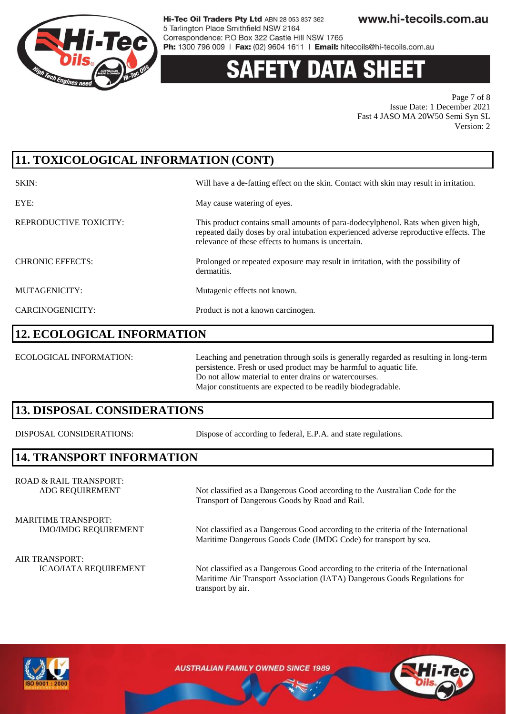

# 'Y DATA SH

Page 7 of 8 Issue Date: 1 December 2021 Fast 4 JASO MA 20W50 Semi Syn SL Version: 2

# **11. TOXICOLOGICAL INFORMATION (CONT)**

| SKIN:                   | Will have a de-fatting effect on the skin. Contact with skin may result in irritation.                                                                                                                                          |
|-------------------------|---------------------------------------------------------------------------------------------------------------------------------------------------------------------------------------------------------------------------------|
| EYE:                    | May cause watering of eyes.                                                                                                                                                                                                     |
| REPRODUCTIVE TOXICITY:  | This product contains small amounts of para-dodecylphenol. Rats when given high,<br>repeated daily doses by oral intubation experienced adverse reproductive effects. The<br>relevance of these effects to humans is uncertain. |
| <b>CHRONIC EFFECTS:</b> | Prolonged or repeated exposure may result in irritation, with the possibility of<br>dermatitis.                                                                                                                                 |
| MUTAGENICITY:           | Mutagenic effects not known.                                                                                                                                                                                                    |
| CARCINOGENICITY:        | Product is not a known carcinogen.                                                                                                                                                                                              |

#### **12. ECOLOGICAL INFORMATION**

ECOLOGICAL INFORMATION: Leaching and penetration through soils is generally regarded as resulting in long-term persistence. Fresh or used product may be harmful to aquatic life. Do not allow material to enter drains or watercourses. Major constituents are expected to be readily biodegradable.

### **13. DISPOSAL CONSIDERATIONS**

DISPOSAL CONSIDERATIONS: Dispose of according to federal, E.P.A. and state regulations.

Transport of Dangerous Goods by Road and Rail.

### **14. TRANSPORT INFORMATION**

ROAD & RAIL TRANSPORT: ADG REQUIREMENT Not classified as a Dangerous Good according to the Australian Code for the

MARITIME TRANSPORT:

IMO/IMDG REQUIREMENT Not classified as a Dangerous Good according to the criteria of the International

Maritime Dangerous Goods Code (IMDG Code) for transport by sea.

AIR TRANSPORT:

ICAO/IATA REQUIREMENT Not classified as a Dangerous Good according to the criteria of the International Maritime Air Transport Association (IATA) Dangerous Goods Regulations for transport by air.